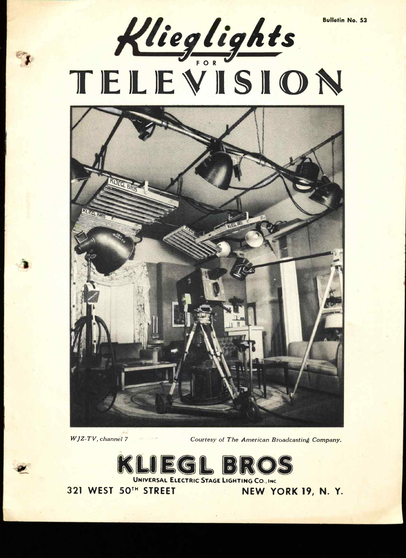



 $\bullet$ 

WJZ-TV, channel 7 Courtesy of The American Broadcasting Company.



UNIVERSAL ELECTRIC STAGE LIGHTING CO., INC.

321 WEST 50TH STREET NEW YORK 19, N. Y.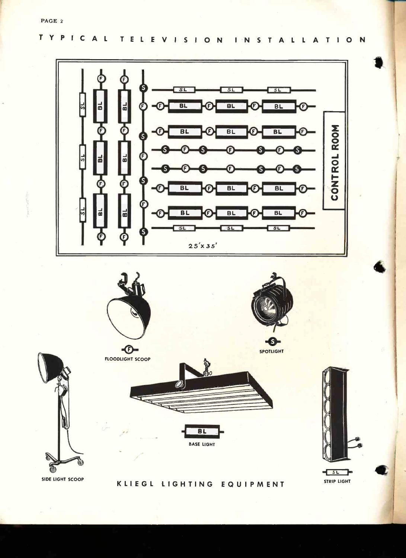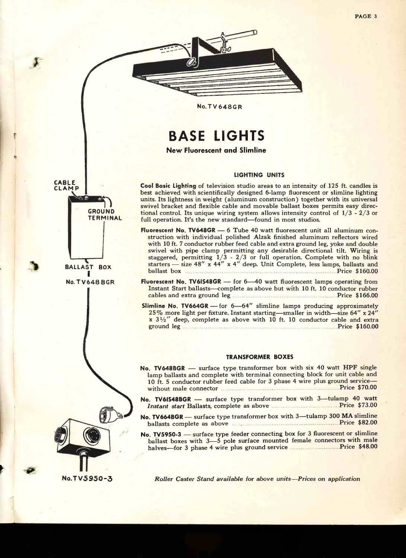PAGE <sup>3</sup>



#### No.TV648GR

# BASE LIGHTS

New Fluorescent and Slimline

#### LIGHTING UNITS

Cool Basic Lighting of television studio areas to an intensity of 125 ft. candles is best achieved with scientifically designed 6-lamp fluorescent or slimline lighting units. Its lightness in weight (aluminum construction) together with its universal swivel bracket and flexible cable and movable ballast boxes permits easy directional control. Its unique wiring system allows intensity control of 1/3 - 2/3 or full operation. It's the new standard-found in most studios.

Fluorescent No.  $TV648GR - 6$  Tube 40 watt fluorescent unit all aluminum construction with individual polished Alzak finished aluminum reflectors wired with 10 ft. 7 conductor rubber feed cable and extra ground leg, yoke and double swivel with pipe clamp permitting any desirable directional tilt. Wiring is swivel with pipe clamp permitting any desirable directional tilt. Wiring is<br>staggered, permitting  $1/3 - 2/3$  or full operation. Complete with no blink<br>starters — size 48" x 44" x 4" deep. Unit Complete, less lamps, ballas ballast box **Price \$160.00** Price \$160.00

Fluorescent No. TV6IS48GR  $-$  for 6 $-$ 40 watt fluorescent lamps operating from Instant Start ballasts-complete as above but with 10 ft. 10 conductor rubber cables and extra ground leg **External Extract Price \$166.00** 

 $Slimline$  No. TV664GR - for  $6-64''$  slimline lamps producing approximately 25% more light per fixture. Instant starting-smaller in width-size 64" x 24"  $x$  3 $\frac{1}{2}$ " deep, complete as above with 10 ft. 10 conductor cable and extra ground leg **Executive Contract Contract Contract Contract Contract Contract Contract Contract Contract Contract Contract Contract Contract Contract Contract Contract Contract Contract Contract Contract Contract Contract Co** 

#### TRANSFORMER BOXES

No. TV648BGR - surface type transformer box with six 40 watt HPF single lamp ballasts and complete with terminal connecting block for unit cable and 10 ft. 5 conductor rubber feed cable for 3 phase 4 wire plus ground servicewithout male connector **Material Connection** Price \$70.00

- No. TV6IS48BGR surface type transformer box with 3-tulamp 40 watt Instant start Ballasts, complete as above **Manual Accord Price \$73.00**
- No. TV664BGR surface type transformer box with 3-tulamp 300 MA slimline

ballasts complete as above **Price \$82.00**<br>No. TV5950-3 — surface type feeder connecting box for 3 fluorescent or slimline No. TV5950-3 — surface type feeder connecting box for 3 fluorescent or slimline<br>ballast boxes with 3-5 pole surface mounted female connectors with male halves-for 3 phase 4 wire plus ground service Price \$48.00

SROUND TERMINAL BALLAST BOX I No. TV648 BGR

CABLE **CLAMP** 

No.TV5950-3

Roller Caster Stand available for above units-Prices on application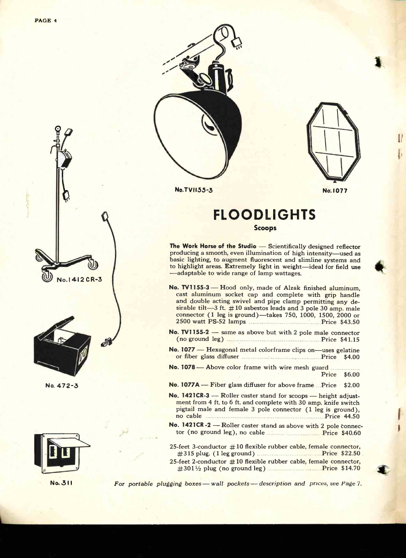

No. 472-3





No.TVI155-3



No.I077

## FLOODLIGHTS Scoops

The Work Horse of the Studio  $-$  Scientifically designed reflector producing a smooth, even illumination of high intensity-used as basic lighting, to augment fluorescent and slimline systems and to highlight areas. Extremely light in weight-ideal for field use -adaptable to wide range of lamp wattages.

- No. TV1155-3 Hood only, made of Alzak finished aluminum, cast aluminum socket cap and complete with grip handle and double acting swivel and pipe clamp permitting any desirable tilt  $-3$  ft.  $\#10$  asbestos leads and 3 pole 30 amp. male connector (1 leg is ground)-takes 750, 1000, 1500, 2000 or 2500 watt PS-52 lamps **Price \$43.50** Price \$43.50
- No. TV1155-2 same as above but with 2 pole male connector  $(no ground leg)$  Price \$41.15
- No. 1077 Hexagonal metal colorframe clips on-uses gelatine or fiber glass diffuser Manual According Price \$4.00
- No. 1078- Above color frame with wire mesh guard Price \$6.00
- No. 1077A Fiber glass diffuser for above frame ... Price \$2.00
- No. 1421CR-3 Roller caster stand for scoops height adjustment from 4 ft. to 6 ft. and complete with 30 amp. knife switch pigtail male and female 3 pole connector (1 leg is ground), no cable **Example 24.50** Price 44.50
- No. 1421CR -2 Roller caster stand as above with 2 pole connector (no ground leg), no cable Price \$40.60

25-feet 3-conductor  $#10$  flexible rubber cable, female connector, #315 plug. (1 leg ground) **Example 22.50** Price \$22.50 25-feet 2-conductor  $#10$  flexible rubber cable, female connector,  $\#301\frac{1}{2}$  plug (no ground leg) expressions. Price \$14.70

No. 311 For portable plugging boxes - wall pockets - description and prices, see Page 7.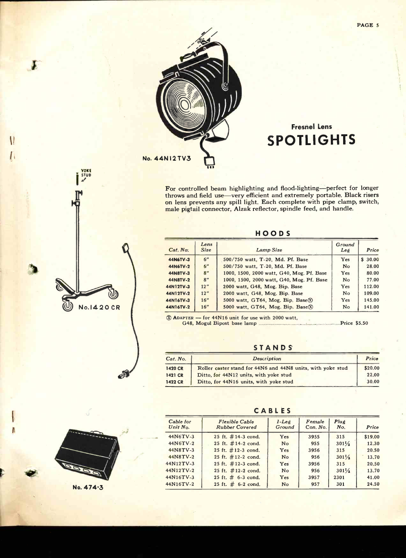

## Fresnel Lens SPOTLIGHTS

For controlled beam highlighting and flood-lighting-perfect for longer throws and field use-very efficient and extremely portable. Black risers on lens prevents any spill light. Each complete with pipe clamp, switch, male pigtail connector, Alzak reflector, spindle feed, and handle.

### HOODS

| Cat. No.  | Lens<br><b>Size</b> | Lamp Size                                   | Ground<br>Leé  | Price   |
|-----------|---------------------|---------------------------------------------|----------------|---------|
| 44N6TV-3  | 6"                  | 500/750 watt, T-20, Md. Pf. Base            | Yes            | \$30.00 |
| 44N6TV-2  | 6"                  | 500/750 watt, T-20, Md. Pf. Base            | N <sub>o</sub> | 28.00   |
| 44N8TV-3  | 8"                  | 1000, 1500, 2000 watt, G40, Mog. Pf. Base   | <b>Yes</b>     | 80.00   |
| 44N8TV-2  | R''                 | 1000, 1500, 2000 watt, G40, Mog. Pf. Base   | N <sub>o</sub> | 77.00   |
| 44N12TV-3 | 12''                | 2000 watt, G48, Mog. Bip. Base              | Yes            | 112.00  |
| 44N12TV-2 | 12''                | 2000 watt, G48, Mog. Bip. Base              | N <sub>o</sub> | 109.00  |
| 44N16TV-3 | 16''                | 5000 watt, GT64, Mog. Bip. Base $\circledR$ | Yes            | 145.00  |
| 44N16TV-2 | 16''                | 5000 watt, GT64, Mog. Bip. Base $(\hat{X})$ | N <sub>o</sub> | 141.00  |

® ADAPTER - for 44N16 unit for use with 2000 watt, G48, Mogul Bipost base lamp

STANDS

| Cat. No.       | <b>Description</b>                                          | Price   |
|----------------|-------------------------------------------------------------|---------|
| <b>1420 CR</b> | Roller caster stand for 44N6 and 44N8 units, with yoke stud | \$20.00 |
| <b>1421 CR</b> | Ditto, for 44N12 units, with yoke stud                      | 22.00   |
| <b>1422 CR</b> | Ditto, for 44N16 units, with yoke stud                      | 30.00   |

V No.1420 CR

 $\tilde{\mathcal{P}}$ 

II leaders and the control of the control of the control of the control of the control of the control of the control of the control of the control of the control of the control of the control of the control of the control

I

YOKE<br>I STUD

No. 474-3

CABLES

| Cable for<br>Unit No. | <b>Flexible Cable</b><br><b>Rubber Covered</b> | $1 - Le \rho$<br>Ground | Female<br>Con. No. | Plug<br>No.      | Price   |
|-----------------------|------------------------------------------------|-------------------------|--------------------|------------------|---------|
| 44N6TV-3              | 25 ft. #14-3 cond.                             | Yes                     | 3955               | 315              | \$19.00 |
| 44N6TV-2              | 25 ft. $\#$ 14-2 cond.                         | N <sub>o</sub>          | 955                | $301\frac{1}{2}$ | 12.30   |
| 44N8TV-3              | 25 ft. $#12-3$ cond.                           | Yes                     | 3956               | 315              | 20.50   |
| 44N8TV-2              | 25 ft. #12-2 cond.                             | No                      | 956                | $301\frac{1}{2}$ | 13.70   |
| 44N12TV-3             | 25 ft. $\#$ 12-3 cond.                         | Yes                     | 3956               | 315              | 20.50   |
| 44N12TV-2             | 25 ft. #12-2 cond.                             | N <sub>o</sub>          | 956                | $301\frac{1}{2}$ | 13.70   |
| 44N16TV-3             | 25 ft. $# 6-3$ cond.                           | Yes                     | 3957               | 2301             | 41.00   |
| 44N16TV-2             | 25 ft. $\#$ 6-2 cond.                          | No                      | 957                | 301              | 24.50   |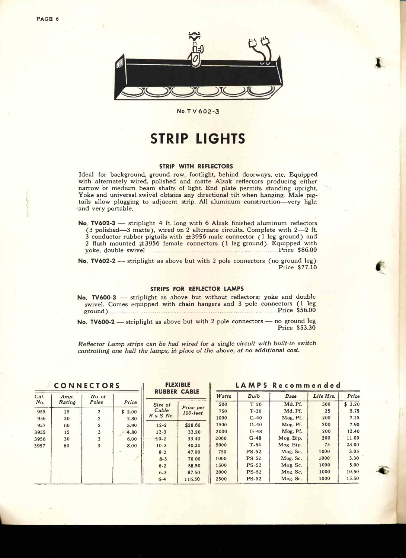

No.T V 602-3

## STRIP LIGHTS

#### STRIP WITH REFLECTORS

Ideal for background, ground row, footlight, behind doorways, etc. Equipped with alternately wired, polished and matte Alzak reflectors producing either narrow or medium beam shafts of light. End plate permits standing upright. Yoke and universal swivel obtains any directional tilt when hanging. Male pigtails allow plugging to adjacent strip. All aluminum construction-very light and very portable.

No. TV602-3 — striplight 4 ft. long with 6 Alzak finished aluminum reflectors (3 polished  $-3$  matte), wired on 2 alternate circuits. Complete with  $2-2$  ft.  $3$  conductor rubber pigtails with  $\#3956$  male connector (1 leg ground) and 2 flush mounted #3956 female connectors (1 leg ground). Equipped with

yoke, double swivel **Express Connection** Connectors (Price \$86.00<br>No. TV602-2 — striplight as above but with 2 pole connectors (no ground leg) No.  $TV602-2$  — striplight as above but with 2 pole connectors (no ground leg)<br>Price \$77.10

#### STRIPS FOR REFLECTOR LAMPS

No. TV600-3 - striplight as above but without reflectors; yoke and double swivel. Comes equipped with chain hangers and 3 pole connectors (1 leg ground) **Price** \$56.00 No. TV600-2  $-$  striplight as above but with 2 pole connectors  $-$  no ground leg Price \$53.30

Reflector Lamp strips can be had wired for a single circuit with built-in switch controlling one half the lamps, in place of the above, at no additional cost.

#### CONNECTORS

| Cat.<br>No. | Amp.<br>Rating | No. of<br>Poles | Price  |
|-------------|----------------|-----------------|--------|
| 955         | 15             | 2               | \$2.00 |
| 956         | 30             | $\overline{2}$  | 2.80   |
| 957         | 60             | $\mathbf{z}$    | 5.90   |
| 3955        | 15             | 3               | 4.80   |
| 3956        | 30             | 3               | 6.00   |
| 3957        | 60             | 3               | 8.00   |
|             |                |                 |        |

#### FLEXIBLE **DUBBER CABLE**

| n v v v 1 n                      | -----                       | V              |
|----------------------------------|-----------------------------|----------------|
| Size of<br>Cable<br>$B \& S$ No. | Price per<br>$100$ - $teet$ | 1              |
| $12 - 2$                         | \$28.60                     | $\overline{1}$ |
| $12 - 3$                         | 33.20                       | $\overline{2}$ |
| $-10-2$                          | 33.40                       | $\overline{2}$ |
| $10 - 3$                         | 40.20                       | $\overline{5}$ |
| $8 - 2$                          | 47.00                       |                |
| $8 - 3$                          | 70.00                       | 1 <sub>1</sub> |
| $6 - 2$                          | 58.50                       | $\mathbf{1}$   |
| $6 - 3$                          | 87.50                       | $\overline{2}$ |
| $6 - 4$                          | 116.50                      | $\overline{2}$ |
|                                  |                             |                |

### LAMPS Pecommended

|       | .<br>-      | .           |           |        |
|-------|-------------|-------------|-----------|--------|
| Watts | <b>Bulb</b> | <b>Base</b> | Life Hrs. | Price  |
| 500   | $T - 20$    | Md. Pf.     | 500       | \$3.20 |
| 750   | $T-20$      | Md. Pf.     | 25        | 5.75   |
| 1000  | $G-40$      | Mog. Pf.    | 200       | 7.15   |
| 1500  | $G-40$      | Mog. Pf.    | 200       | 7.90   |
| 2000  | $G-48$      | Mog. Pf.    | 200       | 12.40  |
| 2000  | $G-48$      | Mog. Bip.   | 200       | 11.00  |
| 5000  | $T - 64$    | Mog. Bip.   | 75        | 23.00  |
| 750   | $PS-52$     | Mog. Sc.    | 1000      | 3.05   |
| 1000  | $PS-52$     | Mog. Sc.    | 1000      | 3.30   |
| 1500  | $PS-52$     | Mog. Sc.    | 1000      | 5.00   |
| 2000  | $PS-52$     | Mog. Sc.    | 1000      | 10.50  |
| 2500  | $PS-52$     | Mog. Sc.    | 1000      | 15.50  |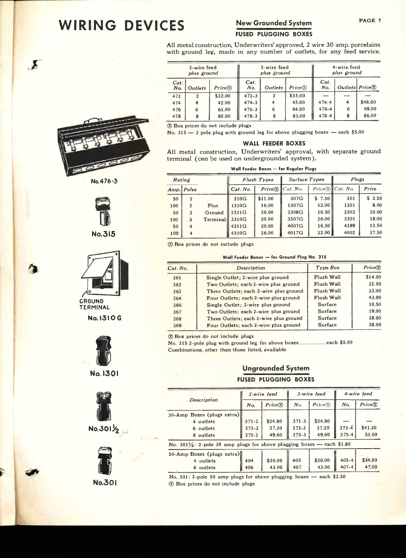# WIRING DEVICES New Grounded System PAGE 7

# FUSED PLUGGING BOXES

All metal construction, Underwriters' approved, 2 wire 30 amp. porcelains with ground leg, made in any number of outlets, for any feed service.

|             | 2-wire feed<br>plus ground |          | 3-wire feed<br>plus ground |                  |           | 4-wire feed<br>plus ground |                          |         |
|-------------|----------------------------|----------|----------------------------|------------------|-----------|----------------------------|--------------------------|---------|
| Cat.<br>No. | Outlets                    | Price(X) | Cat.<br>No.                | Outlets          | Price (X) | Cat.<br>No.                | Outlets $Price(\hat{X})$ |         |
| 472         | $\overline{2}$             | \$32.00  | $472 - 3$                  | $\boldsymbol{2}$ | \$35.00   |                            |                          |         |
| 474         | 4                          | 42.00    | $474 - 3$                  | 4                | 45.00     | $474 - 4$                  | 4                        | \$48.00 |
| 476         | 6                          | 61.00    | $476 - 3$                  | 6                | 64.00     | $476 - 4$                  | 6                        | 69.00   |
| 478         | 8                          | 80.00    | $478 - 3$                  | 8                | 83.00     | $478 - 4$                  | 8                        | 86.00   |

® Box prices do not include plugs

No.  $315 - 2$  pole plug with ground leg for above plugging boxes - each \$5.00

#### WALL FEEDER BOXES

All metal construction, Underwriters' approval, with separate ground terminal (can be used on undergrounded system).

Wall Feeder Boxes - for Regular Plugs

| Rating |                  |          |          | Flush Types | Surface Types                 |        | Plugs                     |            |
|--------|------------------|----------|----------|-------------|-------------------------------|--------|---------------------------|------------|
|        | Amp. Poles       |          | Cat. No. |             | $Price(\widehat{X})$ Cat. No. |        | $Price(\hat{X})$ Cat. No. | Price      |
| 50     | $\boldsymbol{2}$ |          | 310G     | \$11.00     | 307G                          | \$7.50 | 301                       | 2.50<br>\$ |
| 100    | $\overline{2}$   | Plus     | 1310G    | 16.00       | 1307G                         | 12.00  | 1301                      | 8.00       |
| 50     | 3                | Ground   | 2311G    | 20.00       | 2308G                         | 16.50  | 2302                      | 10.00      |
| 100    | 3                | Terminal | 3310G    | 30.00       | 3307G                         | 26.00  | 3301                      | 18.00      |
| 50     | 4                |          | 4311G    | 20.00       | 4007G                         | 16.50  | 4389                      | 13.50      |
| 100    | 4                |          | 4310G    | 26.00       | 4017G                         | 22.00  | 4002                      | 27.50      |

® Box prices do not inc ude plugs

#### Wall Feeder Boxes - for Ground Plug No. 315

| Cat. No. | <b>Description</b>                     | Type Box   | Price(X) |
|----------|----------------------------------------|------------|----------|
| 361      | Single Outlet; 2-wire plus ground      | Flush Wall | \$14.00  |
| 362      | Two Outlets; each 2-wire plus ground   | Flush Wall | 22.50    |
| 363      | Three Outlets; each 2-wire plus ground | Flush Wall | 33.00    |
| 364      | Four Outlets; each 2-wire plus ground  | Flush Wall | 43.00    |
| 366      | Single Outlet: 2-wire plus ground      | Surface    | 10.50    |
| 367      | Two Outlets; each 2-wire plus ground   | Surface    | 19.00    |
| 368      | Three Outlets; each 2-wire plus ground | Surface    | 28.00    |
| 369      | Four Outlets; each 2-wire plus ground  | Surface    | 38.00    |
|          |                                        |            |          |

® Box prices do not include plugs

No. 315 2 -pole plug with ground leg for above boxes each \$5.00 Combinations, other than those listed, available

### Ungrounded System FUSED PLUGGING BOXES

|                                                                                   |           | 2-wire feed |           | 3-wire feed          |           | 4-wire feed |  |
|-----------------------------------------------------------------------------------|-----------|-------------|-----------|----------------------|-----------|-------------|--|
| Description                                                                       | No.       | Price(X)    | No.       | $Price(\widehat{X})$ | No.       | Price(X)    |  |
| 30-Amp Boxes (plugs extra)                                                        |           |             |           |                      |           |             |  |
| 4 outlets                                                                         | $371 - 2$ | \$24.80     | $371 - 3$ | \$24.80              |           |             |  |
| 6 outlets                                                                         | $373 - 2$ | 37.20       | $373 - 3$ | 37.20                | $373 - 4$ | \$41.20     |  |
| 8 outlets                                                                         | $375 - 2$ | 49.60       | $375 - 3$ | 49.60                | $375 - 4$ | 53.60       |  |
| No. $301\frac{1}{2}$ : 2-pole 30 amp plugs for above plugging boxes — each \$1.80 |           |             |           |                      |           |             |  |
| 50-Amp Boxes (plugs extra)                                                        |           |             |           |                      |           |             |  |
| 4 outlets                                                                         | 404       | \$30.00     | 405       | \$30.00              | $405 - 4$ | \$34.00     |  |
| 6 outlets                                                                         | 406       | 43.00       | 407       | 43.00                | $407 - 4$ | 47.00       |  |

No.  $301: 2$ -pole 50 amp plugs for above plugging boxes - each \$2.50 ® Box prices do not include plugs



 $\boldsymbol{\Sigma}$ 





No.3I5

![](_page_6_Picture_23.jpeg)

TERMINAL

No.1310 <sup>G</sup>

![](_page_6_Picture_26.jpeg)

![](_page_6_Picture_27.jpeg)

 $No.301/2$ 

![](_page_6_Picture_29.jpeg)

**P** 

![](_page_6_Picture_31.jpeg)